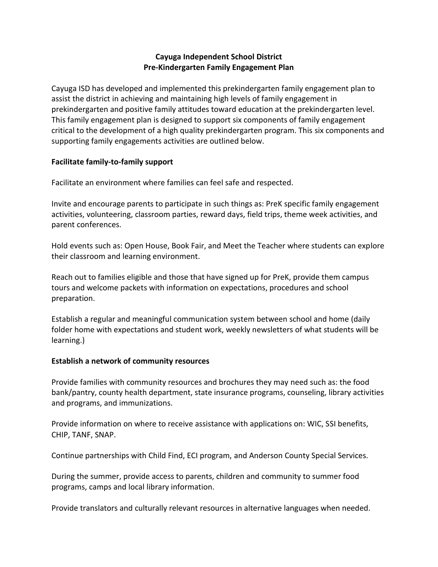# **Cayuga Independent School District Pre-Kindergarten Family Engagement Plan**

Cayuga ISD has developed and implemented this prekindergarten family engagement plan to assist the district in achieving and maintaining high levels of family engagement in prekindergarten and positive family attitudes toward education at the prekindergarten level. This family engagement plan is designed to support six components of family engagement critical to the development of a high quality prekindergarten program. This six components and supporting family engagements activities are outlined below.

## **Facilitate family-to-family support**

Facilitate an environment where families can feel safe and respected.

Invite and encourage parents to participate in such things as: PreK specific family engagement activities, volunteering, classroom parties, reward days, field trips, theme week activities, and parent conferences.

Hold events such as: Open House, Book Fair, and Meet the Teacher where students can explore their classroom and learning environment.

Reach out to families eligible and those that have signed up for PreK, provide them campus tours and welcome packets with information on expectations, procedures and school preparation.

Establish a regular and meaningful communication system between school and home (daily folder home with expectations and student work, weekly newsletters of what students will be learning.)

### **Establish a network of community resources**

Provide families with community resources and brochures they may need such as: the food bank/pantry, county health department, state insurance programs, counseling, library activities and programs, and immunizations.

Provide information on where to receive assistance with applications on: WIC, SSI benefits, CHIP, TANF, SNAP.

Continue partnerships with Child Find, ECI program, and Anderson County Special Services.

During the summer, provide access to parents, children and community to summer food programs, camps and local library information.

Provide translators and culturally relevant resources in alternative languages when needed.